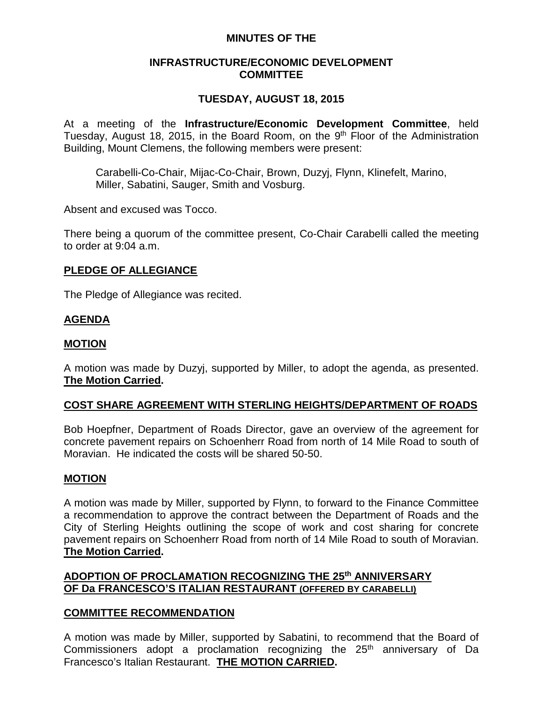# **MINUTES OF THE**

## **INFRASTRUCTURE/ECONOMIC DEVELOPMENT COMMITTEE**

# **TUESDAY, AUGUST 18, 2015**

At a meeting of the **Infrastructure/Economic Development Committee**, held Tuesday, August 18, 2015, in the Board Room, on the 9<sup>th</sup> Floor of the Administration Building, Mount Clemens, the following members were present:

Carabelli-Co-Chair, Mijac-Co-Chair, Brown, Duzyj, Flynn, Klinefelt, Marino, Miller, Sabatini, Sauger, Smith and Vosburg.

Absent and excused was Tocco.

There being a quorum of the committee present, Co-Chair Carabelli called the meeting to order at 9:04 a.m.

## **PLEDGE OF ALLEGIANCE**

The Pledge of Allegiance was recited.

# **AGENDA**

## **MOTION**

A motion was made by Duzyj, supported by Miller, to adopt the agenda, as presented. **The Motion Carried.**

## **COST SHARE AGREEMENT WITH STERLING HEIGHTS/DEPARTMENT OF ROADS**

Bob Hoepfner, Department of Roads Director, gave an overview of the agreement for concrete pavement repairs on Schoenherr Road from north of 14 Mile Road to south of Moravian. He indicated the costs will be shared 50-50.

## **MOTION**

A motion was made by Miller, supported by Flynn, to forward to the Finance Committee a recommendation to approve the contract between the Department of Roads and the City of Sterling Heights outlining the scope of work and cost sharing for concrete pavement repairs on Schoenherr Road from north of 14 Mile Road to south of Moravian. **The Motion Carried.**

# **ADOPTION OF PROCLAMATION RECOGNIZING THE 25th ANNIVERSARY OF Da FRANCESCO'S ITALIAN RESTAURANT (OFFERED BY CARABELLI)**

## **COMMITTEE RECOMMENDATION**

A motion was made by Miller, supported by Sabatini, to recommend that the Board of Commissioners adopt a proclamation recognizing the  $25<sup>th</sup>$  anniversary of Da Francesco's Italian Restaurant. **THE MOTION CARRIED.**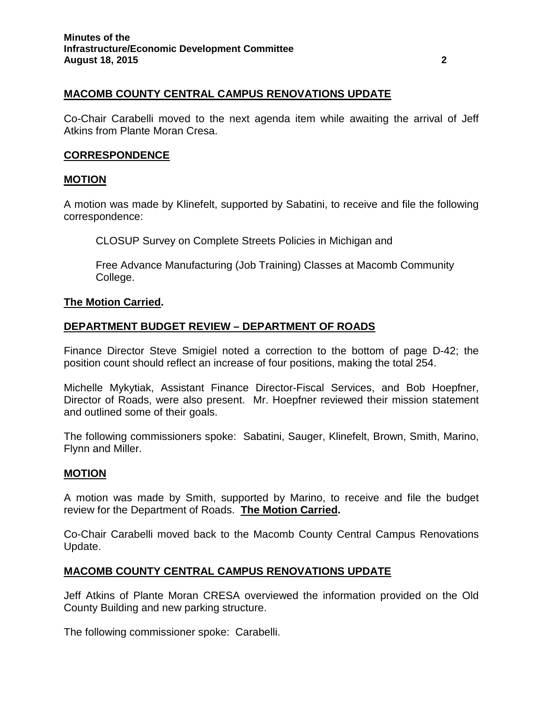# **MACOMB COUNTY CENTRAL CAMPUS RENOVATIONS UPDATE**

Co-Chair Carabelli moved to the next agenda item while awaiting the arrival of Jeff Atkins from Plante Moran Cresa.

### **CORRESPONDENCE**

#### **MOTION**

A motion was made by Klinefelt, supported by Sabatini, to receive and file the following correspondence:

CLOSUP Survey on Complete Streets Policies in Michigan and

Free Advance Manufacturing (Job Training) Classes at Macomb Community College.

#### **The Motion Carried.**

## **DEPARTMENT BUDGET REVIEW – DEPARTMENT OF ROADS**

Finance Director Steve Smigiel noted a correction to the bottom of page D-42; the position count should reflect an increase of four positions, making the total 254.

Michelle Mykytiak, Assistant Finance Director-Fiscal Services, and Bob Hoepfner, Director of Roads, were also present. Mr. Hoepfner reviewed their mission statement and outlined some of their goals.

The following commissioners spoke: Sabatini, Sauger, Klinefelt, Brown, Smith, Marino, Flynn and Miller.

## **MOTION**

A motion was made by Smith, supported by Marino, to receive and file the budget review for the Department of Roads. **The Motion Carried.**

Co-Chair Carabelli moved back to the Macomb County Central Campus Renovations Update.

## **MACOMB COUNTY CENTRAL CAMPUS RENOVATIONS UPDATE**

Jeff Atkins of Plante Moran CRESA overviewed the information provided on the Old County Building and new parking structure.

The following commissioner spoke: Carabelli.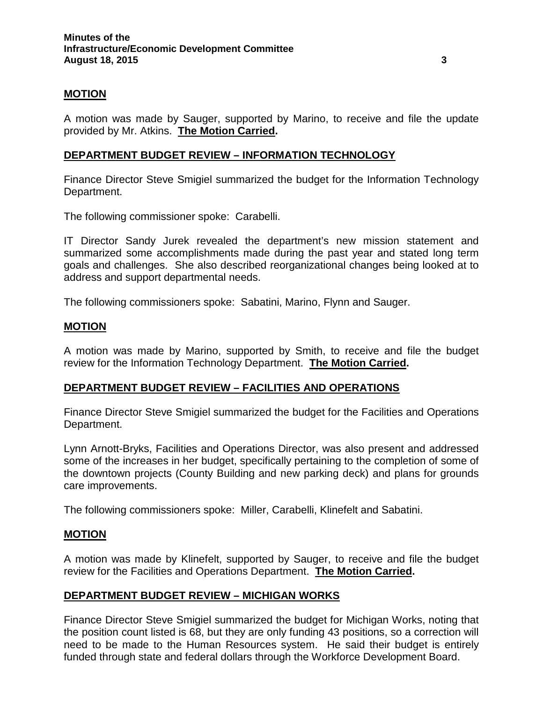## **MOTION**

A motion was made by Sauger, supported by Marino, to receive and file the update provided by Mr. Atkins. **The Motion Carried.**

## **DEPARTMENT BUDGET REVIEW – INFORMATION TECHNOLOGY**

Finance Director Steve Smigiel summarized the budget for the Information Technology Department.

The following commissioner spoke: Carabelli.

IT Director Sandy Jurek revealed the department's new mission statement and summarized some accomplishments made during the past year and stated long term goals and challenges. She also described reorganizational changes being looked at to address and support departmental needs.

The following commissioners spoke: Sabatini, Marino, Flynn and Sauger.

### **MOTION**

A motion was made by Marino, supported by Smith, to receive and file the budget review for the Information Technology Department. **The Motion Carried.**

## **DEPARTMENT BUDGET REVIEW – FACILITIES AND OPERATIONS**

Finance Director Steve Smigiel summarized the budget for the Facilities and Operations Department.

Lynn Arnott-Bryks, Facilities and Operations Director, was also present and addressed some of the increases in her budget, specifically pertaining to the completion of some of the downtown projects (County Building and new parking deck) and plans for grounds care improvements.

The following commissioners spoke: Miller, Carabelli, Klinefelt and Sabatini.

## **MOTION**

A motion was made by Klinefelt, supported by Sauger, to receive and file the budget review for the Facilities and Operations Department. **The Motion Carried.**

## **DEPARTMENT BUDGET REVIEW – MICHIGAN WORKS**

Finance Director Steve Smigiel summarized the budget for Michigan Works, noting that the position count listed is 68, but they are only funding 43 positions, so a correction will need to be made to the Human Resources system. He said their budget is entirely funded through state and federal dollars through the Workforce Development Board.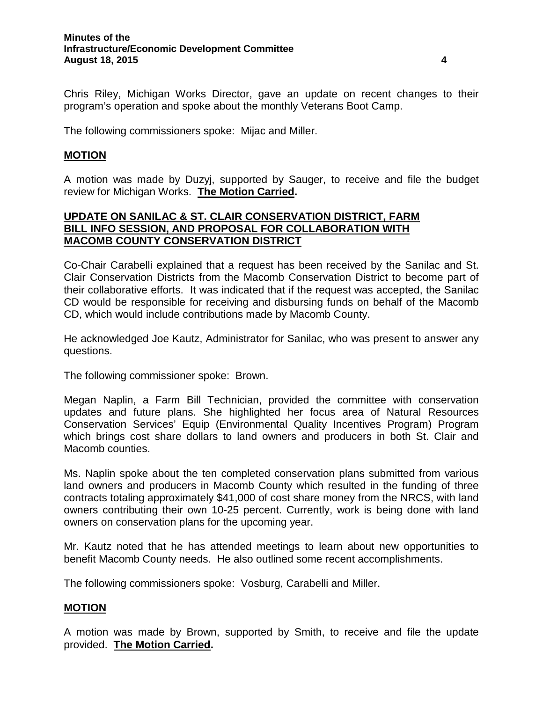Chris Riley, Michigan Works Director, gave an update on recent changes to their program's operation and spoke about the monthly Veterans Boot Camp.

The following commissioners spoke: Mijac and Miller.

## **MOTION**

A motion was made by Duzyj, supported by Sauger, to receive and file the budget review for Michigan Works. **The Motion Carried.**

# **UPDATE ON SANILAC & ST. CLAIR CONSERVATION DISTRICT, FARM BILL INFO SESSION, AND PROPOSAL FOR COLLABORATION WITH MACOMB COUNTY CONSERVATION DISTRICT**

Co-Chair Carabelli explained that a request has been received by the Sanilac and St. Clair Conservation Districts from the Macomb Conservation District to become part of their collaborative efforts. It was indicated that if the request was accepted, the Sanilac CD would be responsible for receiving and disbursing funds on behalf of the Macomb CD, which would include contributions made by Macomb County.

He acknowledged Joe Kautz, Administrator for Sanilac, who was present to answer any questions.

The following commissioner spoke: Brown.

Megan Naplin, a Farm Bill Technician, provided the committee with conservation updates and future plans. She highlighted her focus area of Natural Resources Conservation Services' Equip (Environmental Quality Incentives Program) Program which brings cost share dollars to land owners and producers in both St. Clair and Macomb counties.

Ms. Naplin spoke about the ten completed conservation plans submitted from various land owners and producers in Macomb County which resulted in the funding of three contracts totaling approximately \$41,000 of cost share money from the NRCS, with land owners contributing their own 10-25 percent. Currently, work is being done with land owners on conservation plans for the upcoming year.

Mr. Kautz noted that he has attended meetings to learn about new opportunities to benefit Macomb County needs. He also outlined some recent accomplishments.

The following commissioners spoke: Vosburg, Carabelli and Miller.

## **MOTION**

A motion was made by Brown, supported by Smith, to receive and file the update provided. **The Motion Carried.**